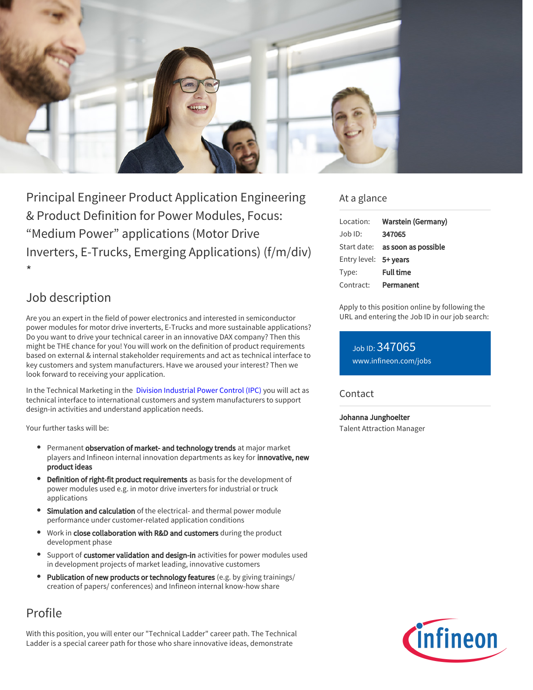

Principal Engineer Product Application Engineering & Product Definition for Power Modules, Focus: "Medium Power" applications (Motor Drive Inverters, E-Trucks, Emerging Applications) (f/m/div) \*

# Job description

Are you an expert in the field of power electronics and interested in semiconductor power modules for motor drive inverterts, E-Trucks and more sustainable applications? Do you want to drive your technical career in an innovative DAX company? Then this might be THE chance for you! You will work on the definition of product requirements based on external & internal stakeholder requirements and act as technical interface to key customers and system manufacturers. Have we aroused your interest? Then we look forward to receiving your application.

In the Technical Marketing in the  [Division Industrial Power Control \(IPC\)](https://www.infineon.com/cms/en/careers/working-at-infineon/ipcdreamjob/?redirId=136542) you will act as technical interface to international customers and system manufacturers to support design-in activities and understand application needs.

Your further tasks will be:

- **Permanent observation of market- and technology trends** at major market players and Infineon internal innovation departments as key for **innovative, new** product ideas
- Definition of right-fit product requirements as basis for the development of power modules used e.g. in motor drive inverters for industrial or truck applications
- Simulation and calculation of the electrical- and thermal power module performance under customer-related application conditions
- Work in close collaboration with R&D and customers during the product development phase
- Support of customer validation and design-in activities for power modules used in development projects of market leading, innovative customers
- Publication of new products or technology features (e.g. by giving trainings/ creation of papers/ conferences) and Infineon internal know-how share

# Profile

With this position, you will enter our "Technical Ladder" career path. The Technical Ladder is a special career path for those who share innovative ideas, demonstrate

### At a glance

| Location:             | <b>Warstein (Germany)</b>              |
|-----------------------|----------------------------------------|
| Job ID:               | 347065                                 |
|                       | Start date: <b>as soon as possible</b> |
| Entry level: 5+ vears |                                        |
| Type:                 | <b>Full time</b>                       |
| Contract:             | Permanent                              |

Apply to this position online by following the URL and entering the Job ID in our job search:

Job ID: 347065 [www.infineon.com/jobs](https://www.infineon.com/jobs)

### **Contact**

Johanna Junghoelter Talent Attraction Manager